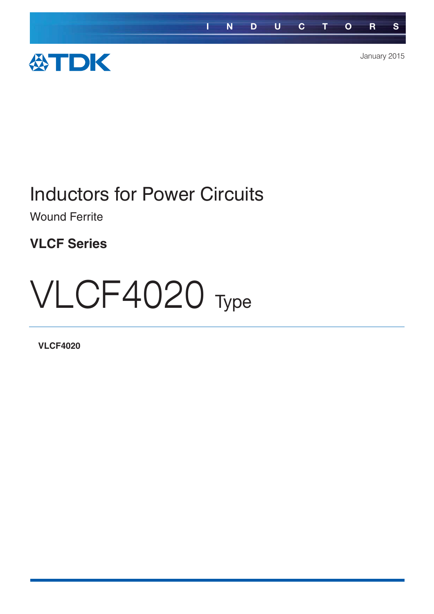

# Inductors for Power Circuits

Wound Ferrite

**VLCF Series**

# VLCF4020 Type

**VLCF4020**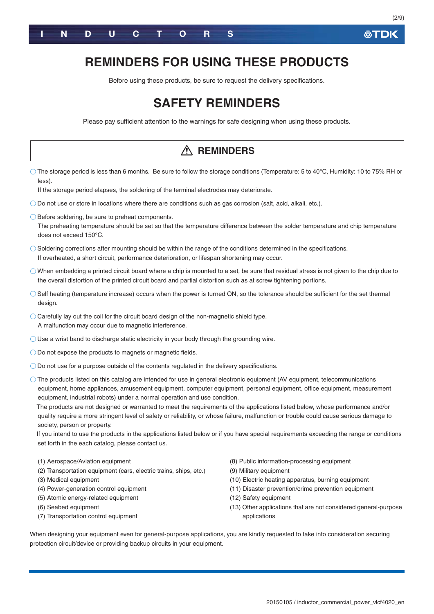

# **REMINDERS FOR USING THESE PRODUCTS**

Before using these products, be sure to request the delivery specifications.

# **SAFETY REMINDERS**

Please pay sufficient attention to the warnings for safe designing when using these products.

# The storage period is less than 6 months. Be sure to follow the storage conditions (Temperature: 5 to 40°C, Humidity: 10 to 75% RH or less). If the storage period elapses, the soldering of the terminal electrodes may deteriorate. Do not use or store in locations where there are conditions such as gas corrosion (salt, acid, alkali, etc.).  $\bigcirc$  Before soldering, be sure to preheat components. The preheating temperature should be set so that the temperature difference between the solder temperature and chip temperature does not exceed 150°C.  $\bigcirc$  Soldering corrections after mounting should be within the range of the conditions determined in the specifications. If overheated, a short circuit, performance deterioration, or lifespan shortening may occur.  $\circ$  When embedding a printed circuit board where a chip is mounted to a set, be sure that residual stress is not given to the chip due to the overall distortion of the printed circuit board and partial distortion such as at screw tightening portions. Self heating (temperature increase) occurs when the power is turned ON, so the tolerance should be sufficient for the set thermal design.  $\bigcirc$  Carefully lay out the coil for the circuit board design of the non-magnetic shield type. A malfunction may occur due to magnetic interference. Use a wrist band to discharge static electricity in your body through the grounding wire. O Do not expose the products to magnets or magnetic fields. Do not use for a purpose outside of the contents regulated in the delivery specifications. The products listed on this catalog are intended for use in general electronic equipment (AV equipment, telecommunications equipment, home appliances, amusement equipment, computer equipment, personal equipment, office equipment, measurement equipment, industrial robots) under a normal operation and use condition. The products are not designed or warranted to meet the requirements of the applications listed below, whose performance and/or quality require a more stringent level of safety or reliability, or whose failure, malfunction or trouble could cause serious damage to society, person or property. If you intend to use the products in the applications listed below or if you have special requirements exceeding the range or conditions set forth in the each catalog, please contact us. (1) Aerospace/Aviation equipment (2) Transportation equipment (cars, electric trains, ships, etc.) (3) Medical equipment (4) Power-generation control equipment (5) Atomic energy-related equipment (6) Seabed equipment (7) Transportation control equipment (8) Public information-processing equipment (9) Military equipment (10) Electric heating apparatus, burning equipment (11) Disaster prevention/crime prevention equipment (12) Safety equipment (13) Other applications that are not considered general-purpose applications When designing your equipment even for general-purpose applications, you are kindly requested to take into consideration securing protection circuit/device or providing backup circuits in your equipment. **REMINDERS**

**ATDK**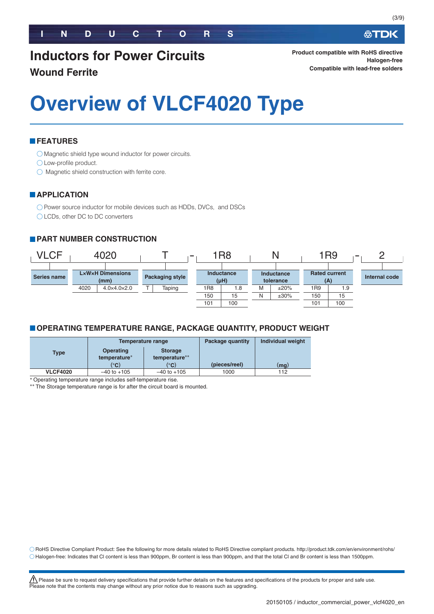# **Inductors for Power Circuits Wound Ferrite**

**Product compatible with RoHS directive Halogen-free Compatible with lead-free solders**

# **Overview of VLCF4020 Type**

# **FEATURES**

Magnetic shield type wound inductor for power circuits.

O Low-profile product.

 $\bigcirc$  Magnetic shield construction with ferrite core.

# **APPLICATION**

O Power source inductor for mobile devices such as HDDs, DVCs, and DSCs

◯ LCDs, other DC to DC converters

# **PART NUMBER CONSTRUCTION**



# **OPERATING TEMPERATURE RANGE, PACKAGE QUANTITY, PRODUCT WEIGHT**

|                 |                  | Temperature range | Package quantity | <b>Individual weight</b> |  |
|-----------------|------------------|-------------------|------------------|--------------------------|--|
| Type            | <b>Operating</b> | <b>Storage</b>    |                  |                          |  |
|                 | temperature*     | temperature**     |                  |                          |  |
|                 | $^{\circ}$ C)    | (°C)              | (pieces/reel)    | (mg)                     |  |
| <b>VLCF4020</b> | $-40$ to $+105$  | $-40$ to $+105$   | 1000             | 112                      |  |

-Operating temperature range includes self-temperature rise.

\*\* The Storage temperature range is for after the circuit board is mounted.

RoHS Directive Compliant Product: See the following for more details related to RoHS Directive compliant products. http://product.tdk.com/en/environment/rohs/ Halogen-free: Indicates that Cl content is less than 900ppm, Br content is less than 900ppm, and that the total Cl and Br content is less than 1500ppm.

<u>/!\</u> Please be sure to request delivery specifications that provide further details on the features and specifications of the products for proper and safe use.<br>Please note that the contents may change without any prior n

必TDK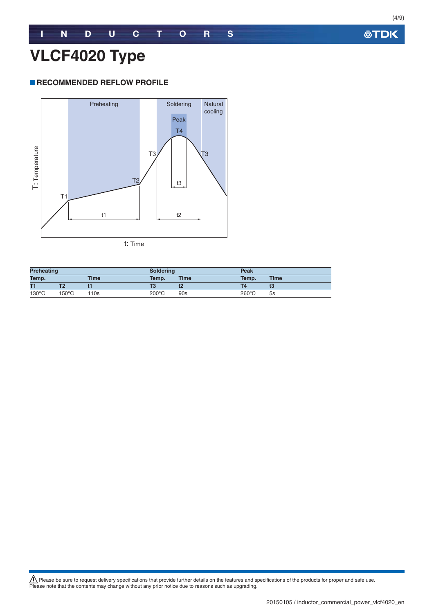# **RECOMMENDED REFLOW PROFILE**



**Preheating Soldering Peak Temp. Time Temp. Time Temp. Time T1 T2 t1 T3 t2 T4 t3** 130°C 150°C 110s 200°C 90s 260°C 5s

<u>/!\</u> Please be sure to request delivery specifications that provide further details on the features and specifications of the products for proper and safe use.<br>Please note that the contents may change without any prior n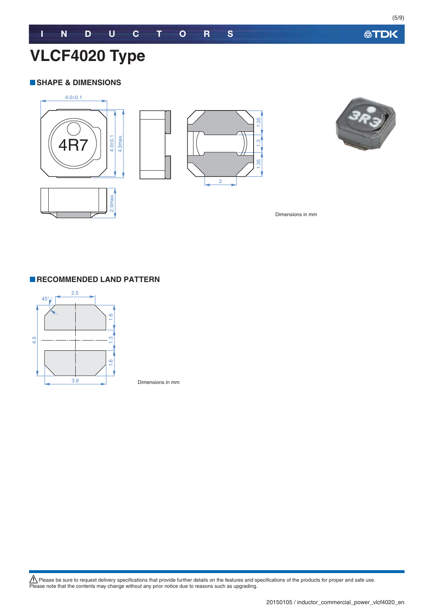**公TDK** 

# **VLCF4020 Type**

### **SHAPE & DIMENSIONS**



Dimensions in mm



Dimensions in mm

<u>/!\</u> Please be sure to request delivery specifications that provide further details on the features and specifications of the products for proper and safe use.<br>Please note that the contents may change without any prior n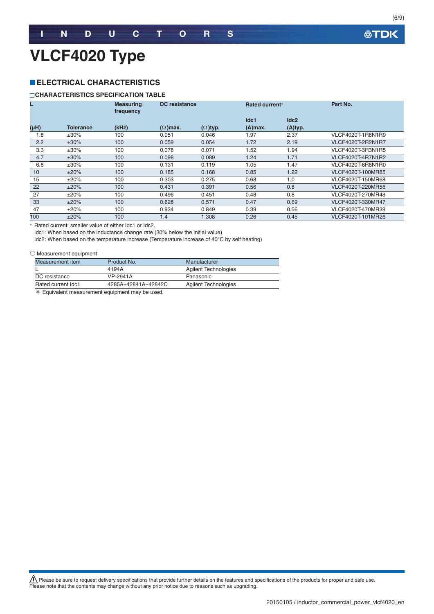# **VLCF4020 Type**

# **ELECTRICAL CHARACTERISTICS**

#### **CHARACTERISTICS SPECIFICATION TABLE**

|                   |                  | <b>Measuring</b><br>frequency |                 | <b>DC</b> resistance<br><b>Rated current*</b> |            |                  | Part No.          |
|-------------------|------------------|-------------------------------|-----------------|-----------------------------------------------|------------|------------------|-------------------|
|                   |                  |                               |                 |                                               | Idc1       | Idc <sub>2</sub> |                   |
| (H <sub>H</sub> ) | <b>Tolerance</b> | (kHz)                         | $(\Omega)$ max. | $(\Omega)$ typ.                               | $(A)$ max. | (A)typ.          |                   |
| 1.8               | $\pm 30\%$       | 100                           | 0.051           | 0.046                                         | 1.97       | 2.37             | VLCF4020T-1R8N1R9 |
| 2.2               | $±30\%$          | 100                           | 0.059           | 0.054                                         | 1.72       | 2.19             | VLCF4020T-2R2N1R7 |
| 3.3               | $\pm 30\%$       | 100                           | 0.078           | 0.071                                         | 1.52       | 1.94             | VLCF4020T-3R3N1R5 |
| 4.7               | $±30\%$          | 100                           | 0.098           | 0.089                                         | 1.24       | 1.71             | VLCF4020T-4R7N1R2 |
| 6.8               | $\pm 30\%$       | 100                           | 0.131           | 0.119                                         | 1.05       | 1.47             | VLCF4020T-6R8N1R0 |
| 10                | ±20%             | 100                           | 0.185           | 0.168                                         | 0.85       | 1.22             | VLCF4020T-100MR85 |
| 15                | ±20%             | 100                           | 0.303           | 0.275                                         | 0.68       | 1.0              | VLCF4020T-150MR68 |
| 22                | ±20%             | 100                           | 0.431           | 0.391                                         | 0.56       | 0.8              | VLCF4020T-220MR56 |
| 27                | ±20%             | 100                           | 0.496           | 0.451                                         | 0.48       | 0.8              | VLCF4020T-270MR48 |
| 33                | ±20%             | 100                           | 0.628           | 0.571                                         | 0.47       | 0.69             | VLCF4020T-330MR47 |
| 47                | ±20%             | 100                           | 0.934           | 0.849                                         | 0.39       | 0.56             | VLCF4020T-470MR39 |
| 100               | ±20%             | 100                           | 1.4             | 1.308                                         | 0.26       | 0.45             | VLCF4020T-101MR26 |

- Rated current: smaller value of either Idc1 or Idc2.

Idc1: When based on the inductance change rate (30% below the initial value)

Idc2: When based on the temperature increase (Temperature increase of 40°C by self heating)

#### ○ Measurement equipment

| Measurement item   | Product No.         | Manufacturer         |
|--------------------|---------------------|----------------------|
|                    | 4194A               | Agilent Technologies |
| DC resistance      | VP-2941A            | Panasonic            |
| Rated current Idc1 | 4285A+42841A+42842C | Agilent Technologies |

\* Equivalent measurement equipment may be used.

<u>/!\</u> Please be sure to request delivery specifications that provide further details on the features and specifications of the products for proper and safe use.<br>Please note that the contents may change without any prior n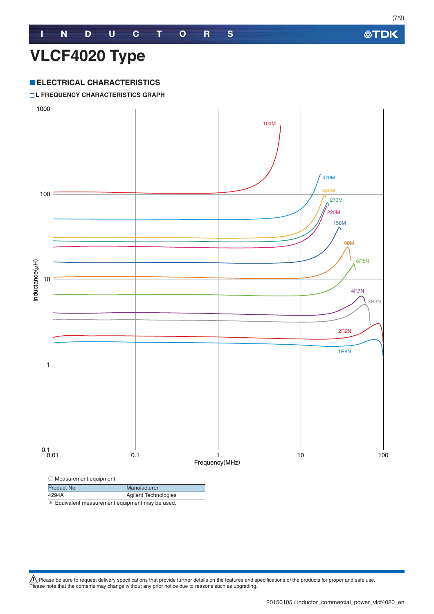# **ELECTRICAL CHARACTERISTICS**

#### **L FREQUENCY CHARACTERISTICS GRAPH**



\* Equivalent measurement equipment may be used.

<u>/!\</u> Please be sure to request delivery specifications that provide further details on the features and specifications of the products for proper and safe use.<br>Please note that the contents may change without any prior n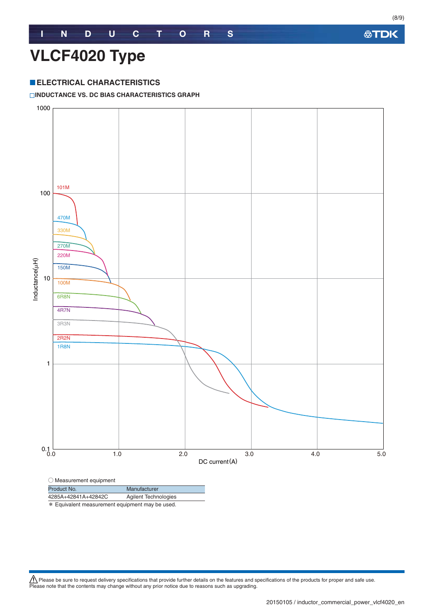# **VLCF4020 Type**

# **ELECTRICAL CHARACTERISTICS**

#### **INDUCTANCE VS. DC BIAS CHARACTERISTICS GRAPH**



Product No. Manufacturer

4285A+42841A+42842C Agilent Technologies

\* Equivalent measurement equipment may be used.

<u>/!\</u> Please be sure to request delivery specifications that provide further details on the features and specifications of the products for proper and safe use.<br>Please note that the contents may change without any prior n